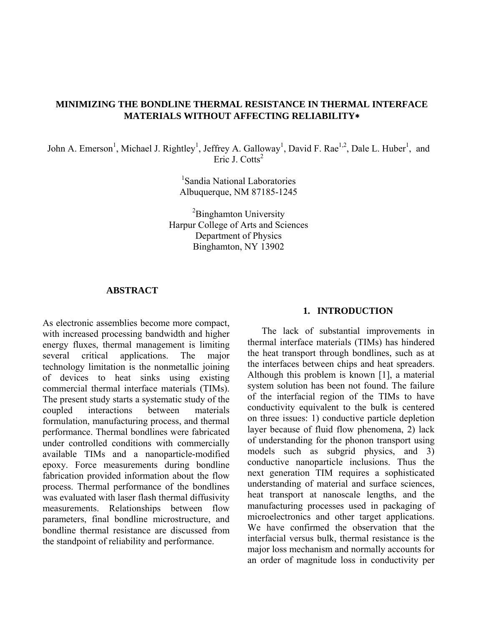## **MINIMIZING THE BONDLINE THERMAL RESISTANCE IN THERMAL INTERFACE MATERIALS WITHOUT AFFECTING RELIABILITY**∗

John A. Emerson<sup>1</sup>, Michael J. Rightley<sup>1</sup>, Jeffrey A. Galloway<sup>1</sup>, David F. Rae<sup>1,2</sup>, Dale L. Huber<sup>1</sup>, and Eric J. Cotts<sup>2</sup>

> 1 Sandia National Laboratories Albuquerque, NM 87185-1245

<sup>2</sup>Binghamton University Harpur College of Arts and Sciences Department of Physics Binghamton, NY 13902

#### **ABSTRACT**

As electronic assemblies become more compact, with increased processing bandwidth and higher energy fluxes, thermal management is limiting several critical applications. The major technology limitation is the nonmetallic joining of devices to heat sinks using existing commercial thermal interface materials (TIMs). The present study starts a systematic study of the coupled interactions between materials formulation, manufacturing process, and thermal performance. Thermal bondlines were fabricated under controlled conditions with commercially available TIMs and a nanoparticle-modified epoxy. Force measurements during bondline fabrication provided information about the flow process. Thermal performance of the bondlines was evaluated with laser flash thermal diffusivity measurements. Relationships between flow parameters, final bondline microstructure, and bondline thermal resistance are discussed from the standpoint of reliability and performance.

#### **1. INTRODUCTION**

The lack of substantial improvements in thermal interface materials (TIMs) has hindered the heat transport through bondlines, such as at the interfaces between chips and heat spreaders. Although this problem is known [1], a material system solution has been not found. The failure of the interfacial region of the TIMs to have conductivity equivalent to the bulk is centered on three issues: 1) conductive particle depletion layer because of fluid flow phenomena, 2) lack of understanding for the phonon transport using models such as subgrid physics, and 3) conductive nanoparticle inclusions. Thus the next generation TIM requires a sophisticated understanding of material and surface sciences, heat transport at nanoscale lengths, and the manufacturing processes used in packaging of microelectronics and other target applications. We have confirmed the observation that the interfacial versus bulk, thermal resistance is the major loss mechanism and normally accounts for an order of magnitude loss in conductivity per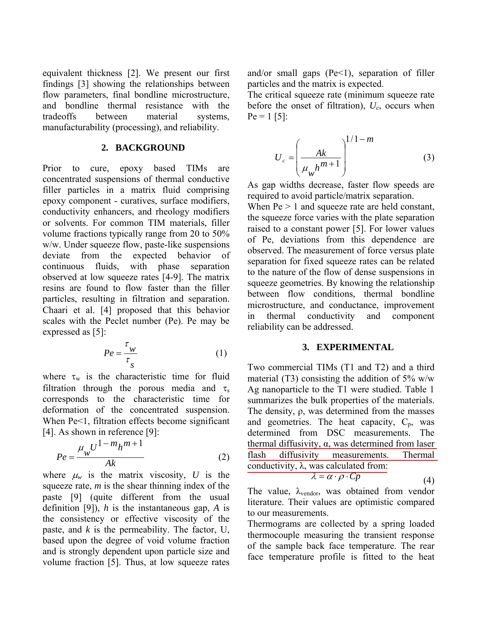equivalent thickness [2]. We present our first findings [3] showing the relationships between flow parameters, final bondline microstructure, and bondline thermal resistance with the tradeoffs between material systems, manufacturability (processing), and reliability.

#### **2. BACKGROUND**

Prior to cure, epoxy based TIMs are concentrated suspensions of thermal conductive filler particles in a matrix fluid comprising epoxy component - curatives, surface modifiers, conductivity enhancers, and rheology modifiers or solvents. For common TIM materials, filler volume fractions typically range from 20 to 50% w/w. Under squeeze flow, paste-like suspensions deviate from the expected behavior of continuous fluids, with phase separation observed at low squeeze rates [4-9]. The matrix resins are found to flow faster than the filler particles, resulting in filtration and separation. Chaari et al. [4] proposed that this behavior scales with the Peclet number (Pe). Pe may be expressed as [5]:

$$
Pe = \frac{\tau_w}{\tau_s} \tag{1}
$$

where  $\tau_w$  is the characteristic time for fluid filtration through the porous media and  $\tau_s$ corresponds to the characteristic time for deformation of the concentrated suspension. When Pe<1, filtration effects become significant [4]. As shown in reference [9]:

$$
Pe = \frac{\mu_w U^{1-m} h^{m+1}}{Ak} \tag{2}
$$

where  $\mu_w$  is the matrix viscosity, *U* is the squeeze rate, *m* is the shear thinning index of the paste [9] (quite different from the usual definition [9]), *h* is the instantaneous gap, *A* is the consistency or effective viscosity of the paste, and *k* is the permeability. The factor, U, based upon the degree of void volume fraction and is strongly dependent upon particle size and volume fraction [5]. Thus, at low squeeze rates

and/or small gaps  $(Pe<1)$ , separation of filler particles and the matrix is expected.

The critical squeeze rate (minimum squeeze rate before the onset of filtration),  $U_c$ , occurs when  $Pe = 1$  [5]:

$$
U_c = \left(\frac{Ak}{\mu_w h^{m+1}}\right)^{1/1-m}
$$
 (3)

As gap widths decrease, faster flow speeds are required to avoid particle/matrix separation.

When  $Pe > 1$  and squeeze rate are held constant, the squeeze force varies with the plate separation raised to a constant power [5]. For lower values of Pe, deviations from this dependence are observed. The measurement of force versus plate separation for fixed squeeze rates can be related to the nature of the flow of dense suspensions in squeeze geometries. By knowing the relationship between flow conditions, thermal bondline microstructure, and conductance, improvement in thermal conductivity and component reliability can be addressed.

#### **3. EXPERIMENTAL**

Two commercial TIMs (T1 and T2) and a third material (T3) consisting the addition of  $5\%$  w/w Ag nanoparticle to the T1 were studied. Table 1 summarizes the bulk properties of the materials. The density, ρ, was determined from the masses and geometries. The heat capacity,  $C_p$ , was determined from DSC measurements. The thermal diffusivity, α, was determined from laser flash diffusivity measurements. Thermal conductivity,  $\lambda$ , was calculated from:  $\lambda = \alpha \cdot \rho \cdot Cp$  (4)

The value, 
$$
\lambda_{\text{vendor}}
$$
, was obtained from vendor literature. Their values are optimistic compared to our measurements.

Thermograms are collected by a spring loaded thermocouple measuring the transient response of the sample back face temperature. The rear face temperature profile is fitted to the heat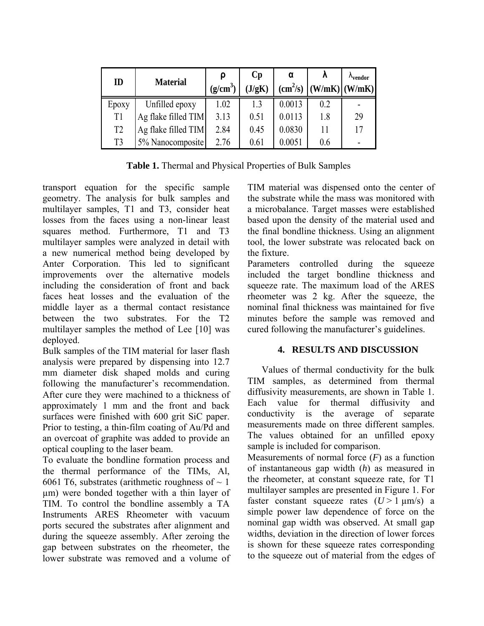| ID             | <b>Material</b>     | $(g/cm^3)$ | $\mathbf{C}\mathbf{p}$<br>(J/gK) | α<br>$\text{(cm}^2\text{/s)}$ |     | $\Lambda$ <sub>vendor</sub><br>$(W/mK)$ $(W/mK)$ |
|----------------|---------------------|------------|----------------------------------|-------------------------------|-----|--------------------------------------------------|
| Epoxy          | Unfilled epoxy      | 1.02       | 1.3                              | 0.0013                        | 0.2 |                                                  |
| T1             | Ag flake filled TIM | 3.13       | 0.51                             | 0.0113                        | 1.8 | 29                                               |
| T <sub>2</sub> | Ag flake filled TIM | 2.84       | 0.45                             | 0.0830                        | 11  | 17                                               |
| T <sub>3</sub> | 5% Nanocomposite    | 2.76       | 0.61                             | 0.0051                        | 0.6 |                                                  |

**Table 1.** Thermal and Physical Properties of Bulk Samples

transport equation for the specific sample geometry. The analysis for bulk samples and multilayer samples, T1 and T3, consider heat losses from the faces using a non-linear least squares method. Furthermore, T1 and T3 multilayer samples were analyzed in detail with a new numerical method being developed by Anter Corporation. This led to significant improvements over the alternative models including the consideration of front and back faces heat losses and the evaluation of the middle layer as a thermal contact resistance between the two substrates. For the T2 multilayer samples the method of Lee [10] was deployed.

Bulk samples of the TIM material for laser flash analysis were prepared by dispensing into 12.7 mm diameter disk shaped molds and curing following the manufacturer's recommendation. After cure they were machined to a thickness of approximately 1 mm and the front and back surfaces were finished with 600 grit SiC paper. Prior to testing, a thin-film coating of Au/Pd and an overcoat of graphite was added to provide an optical coupling to the laser beam.

To evaluate the bondline formation process and the thermal performance of the TIMs, Al, 6061 T6, substrates (arithmetic roughness of  $\sim$  1 µm) were bonded together with a thin layer of TIM. To control the bondline assembly a TA Instruments ARES Rheometer with vacuum ports secured the substrates after alignment and during the squeeze assembly. After zeroing the gap between substrates on the rheometer, the lower substrate was removed and a volume of TIM material was dispensed onto the center of the substrate while the mass was monitored with a microbalance. Target masses were established based upon the density of the material used and the final bondline thickness. Using an alignment tool, the lower substrate was relocated back on the fixture.

Parameters controlled during the squeeze included the target bondline thickness and squeeze rate. The maximum load of the ARES rheometer was 2 kg. After the squeeze, the nominal final thickness was maintained for five minutes before the sample was removed and cured following the manufacturer's guidelines.

# **4. RESULTS AND DISCUSSION**

Values of thermal conductivity for the bulk TIM samples, as determined from thermal diffusivity measurements, are shown in Table 1. Each value for thermal diffusivity and conductivity is the average of separate measurements made on three different samples. The values obtained for an unfilled epoxy sample is included for comparison.

Measurements of normal force  $(F)$  as a function of instantaneous gap width (*h*) as measured in the rheometer, at constant squeeze rate, for T1 multilayer samples are presented in Figure 1. For faster constant squeeze rates  $(U > 1 \text{ µm/s})$  a simple power law dependence of force on the nominal gap width was observed. At small gap widths, deviation in the direction of lower forces is shown for these squeeze rates corresponding to the squeeze out of material from the edges of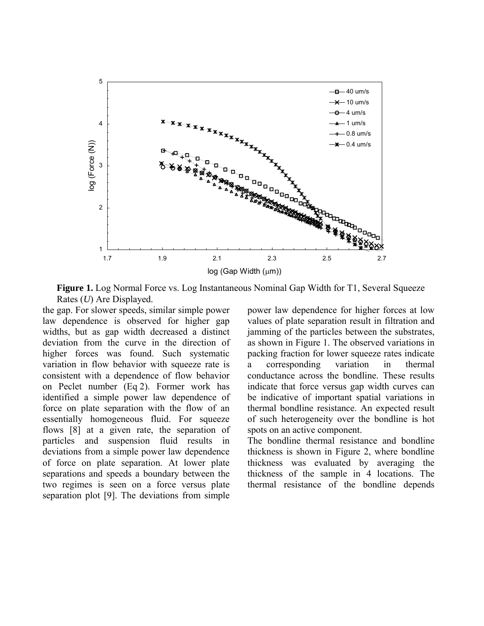

**Figure 1.** Log Normal Force vs. Log Instantaneous Nominal Gap Width for T1, Several Squeeze Rates (*U*) Are Displayed.

the gap. For slower speeds, similar simple power law dependence is observed for higher gap widths, but as gap width decreased a distinct deviation from the curve in the direction of higher forces was found. Such systematic variation in flow behavior with squeeze rate is consistent with a dependence of flow behavior on Peclet number (Eq 2). Former work has identified a simple power law dependence of force on plate separation with the flow of an essentially homogeneous fluid. For squeeze flows [8] at a given rate, the separation of particles and suspension fluid results in deviations from a simple power law dependence of force on plate separation. At lower plate separations and speeds a boundary between the two regimes is seen on a force versus plate separation plot [9]. The deviations from simple

power law dependence for higher forces at low values of plate separation result in filtration and jamming of the particles between the substrates, as shown in Figure 1. The observed variations in packing fraction for lower squeeze rates indicate a corresponding variation in thermal conductance across the bondline. These results indicate that force versus gap width curves can be indicative of important spatial variations in thermal bondline resistance. An expected result of such heterogeneity over the bondline is hot spots on an active component.

The bondline thermal resistance and bondline thickness is shown in Figure 2, where bondline thickness was evaluated by averaging the thickness of the sample in 4 locations. The thermal resistance of the bondline depends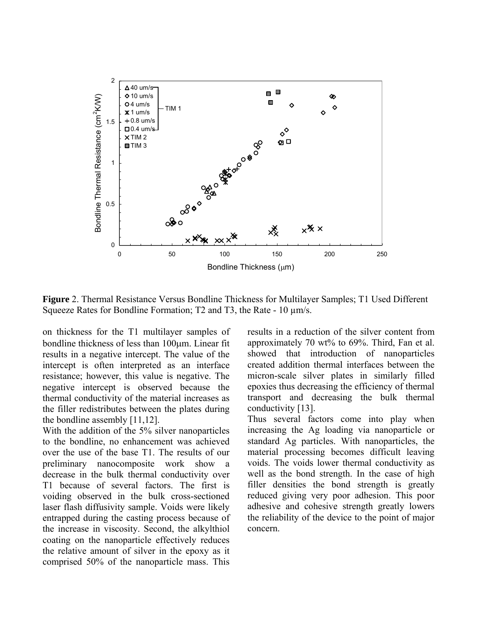

**Figure** 2. Thermal Resistance Versus Bondline Thickness for Multilayer Samples; T1 Used Different Squeeze Rates for Bondline Formation; T2 and T3, the Rate - 10  $\mu$ m/s.

on thickness for the T1 multilayer samples of bondline thickness of less than 100µm. Linear fit results in a negative intercept. The value of the intercept is often interpreted as an interface resistance; however, this value is negative. The negative intercept is observed because the thermal conductivity of the material increases as the filler redistributes between the plates during the bondline assembly [11,12].

With the addition of the 5% silver nanoparticles to the bondline, no enhancement was achieved over the use of the base T1. The results of our preliminary nanocomposite work show a decrease in the bulk thermal conductivity over T1 because of several factors. The first is voiding observed in the bulk cross-sectioned laser flash diffusivity sample. Voids were likely entrapped during the casting process because of the increase in viscosity. Second, the alkylthiol coating on the nanoparticle effectively reduces the relative amount of silver in the epoxy as it comprised 50% of the nanoparticle mass. This

results in a reduction of the silver content from approximately 70 wt% to 69%. Third, Fan et al. showed that introduction of nanoparticles created addition thermal interfaces between the micron-scale silver plates in similarly filled epoxies thus decreasing the efficiency of thermal transport and decreasing the bulk thermal conductivity [13].

Thus several factors come into play when increasing the Ag loading via nanoparticle or standard Ag particles. With nanoparticles, the material processing becomes difficult leaving voids. The voids lower thermal conductivity as well as the bond strength. In the case of high filler densities the bond strength is greatly reduced giving very poor adhesion. This poor adhesive and cohesive strength greatly lowers the reliability of the device to the point of major concern.